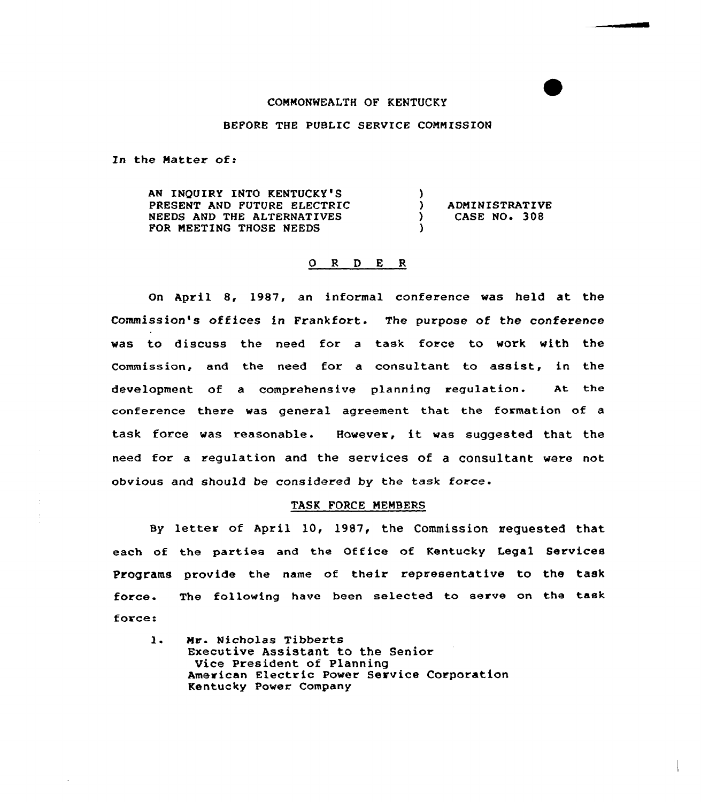### COMMONWEALTH OF KENTUCKY

# BEFORE THE PUBLIC SERVICE COMMISSION

In the Matter of:

AN INQUIRY INTO KENTUCKY'S PRESENT AND FUTURE ELECTRIC NEEDS AND THE ALTERNATIVES FOR MEETING THOSE NEEDS  $\left\{ \right\}$ ) ADMINISTRATIVE<br>
) CASE NO. 308 CASE NO. 308 )

# 0 R <sup>D</sup> E <sup>R</sup>

On April 8, 1987, an informal conference was held at the Commission's offices in Frankfort. The purpose of the conference was to discuss the need for a task force to work with the Commission, and the need for a consultant to assist, in the development of a comprehensive planning regulation. At the conference there was general agreement that the formation of a task force was reasonable. However, it was suggested that the need for a regulation and the services of a consultant were not obvious and should be considered by the task force.

### TASK FORCE MEMBERS

By letter of April 10, 1987, the Commission requested that each of the parties and the Office of Kentucky Legal Services Programs provide the name of their representative to the task force. force: The following have been selected to serve on the task

 $\mathbf{1}$ . Mr. Nicholas Tibberts Executive Assistant to the Senior Vice President of Planning American Electric Power Service Corporation Kentucky Power Company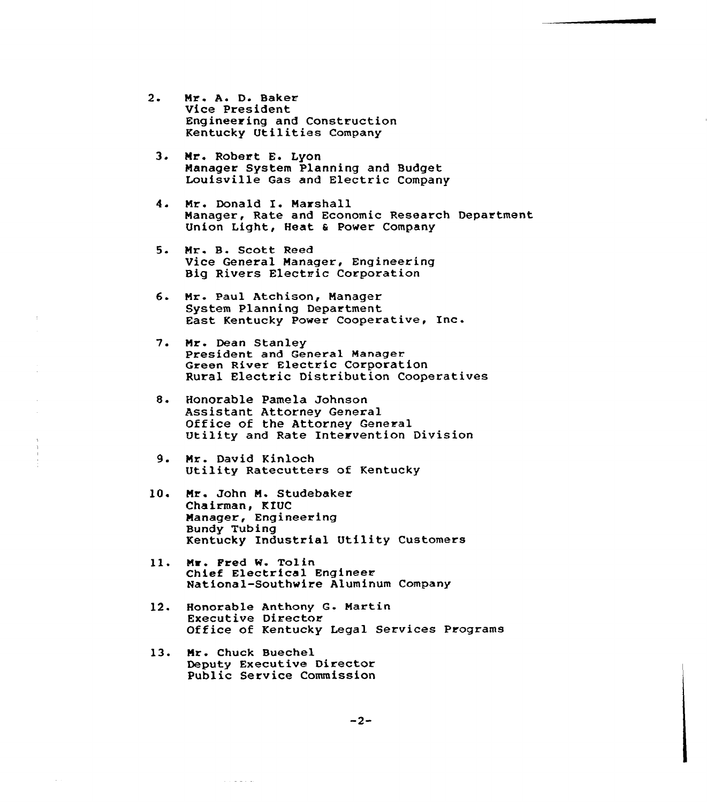- 2. Mr. A. D. Baker Vice President Engineering and Construction Kentucky Utilities Company
	- Nr. Robert E. Lyon Manager System Planning and Budget Louisville Gas and Electric Company
	- 4. Mr. Donald I. Marshall Manager, Rate and Economic Research Department Union Light, Heat 6 Power Company
	- $5.$ Mr. B. Scott Reed Vice General Manager, Engineering Big Rivers Electric Corporation
	- 6 Nr. Paul Atchison, Nanager System Planning Department East Kentucky Power Cooperative, Inc.
	- $7.$ Nr. Dean Stanley President and General Manager Green River Electric Corporation Rural Electric Distribution Cooperatives
	- $8.$ Honorable Pamela Johnson Assistant Attorney General Office of the Attorney General Utility and Rate Intervention Division
	- 9. Mr. David Kinloch<br>Utility Ratecutters of Kentucky
- 10 Nr. John N. Studebaker Chairman, KIUC Nanager, Engineering Bundy Tubing Kentucky Industrial Utility Customers
- Mr. Fred W. Tolin 11. Chief Electrical Engineer National-Southwire Aluminum Company
- 12. Honorable Anthony G. Martin Executive Director Office of Kentucky Legal Services Programs
- Nr. Chuck Buechel 13. Deputy Executive Director Public Service Commission

 $\alpha$  ,  $\beta$  ,  $\alpha$  ,  $\alpha$  ,  $\beta$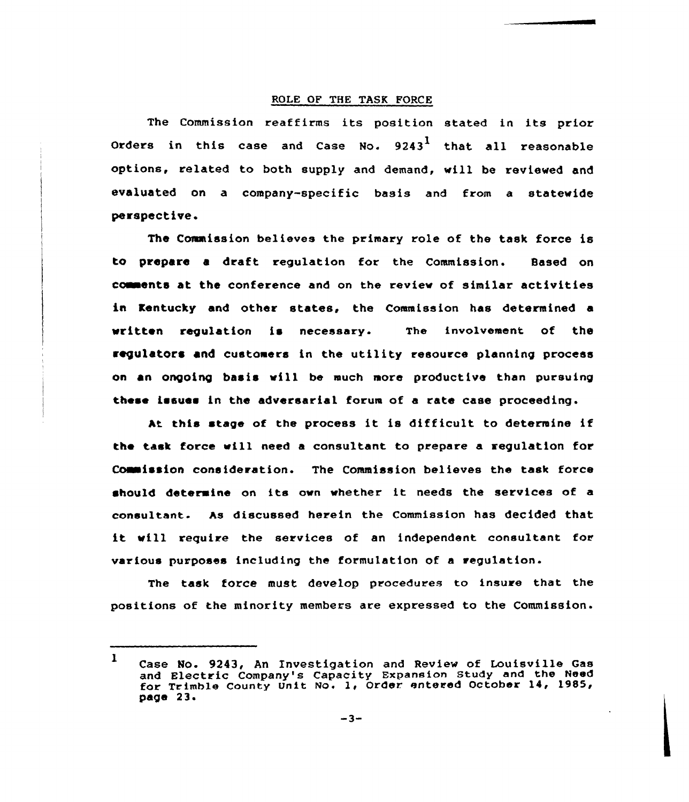# ROLE OF THE TASK FORCE

The Commission reaffirms its position stated in its prior Orders in this case and Case No.  $9243<sup>1</sup>$  that all reasonable options, related to both supply and demand, will be reviewed and evaluated on a company-specific basis and from a statewide perspective.

The Commission believes the primary role of the task force is to prepare a draft requiation for the Commission. Based on comments at the conference and on the review of similar activities in Kentucky and other states, the Commission has determined a written regulation is necessary. The involvement of the regulators and customers in the utility resource planning process on an ongoing basis vill be much more productive than pursuing these issues in the adversarial forum of a rate case proceeding.

At this stage of the process it is difficult to determine if the task force will need a consultant to prepare a regulation for Comission consideration. The Commission believes the task force should determine on its own whether it needs the services of a consultant. As discussed herein the Commission has decided that it will require the services of an independent consultant for various purposes including the formulation of a regulation.

The task force must develop procedures to insure that the positions of the minority members are expressed to the Commission.

 $1$  Case No. 9243, An Investigation and Review of Louisville Gas and Electric Company's Capacity Expansion Study and the Need for Trimble County Unit No. 1, Order entered October 14, 1985, page 23.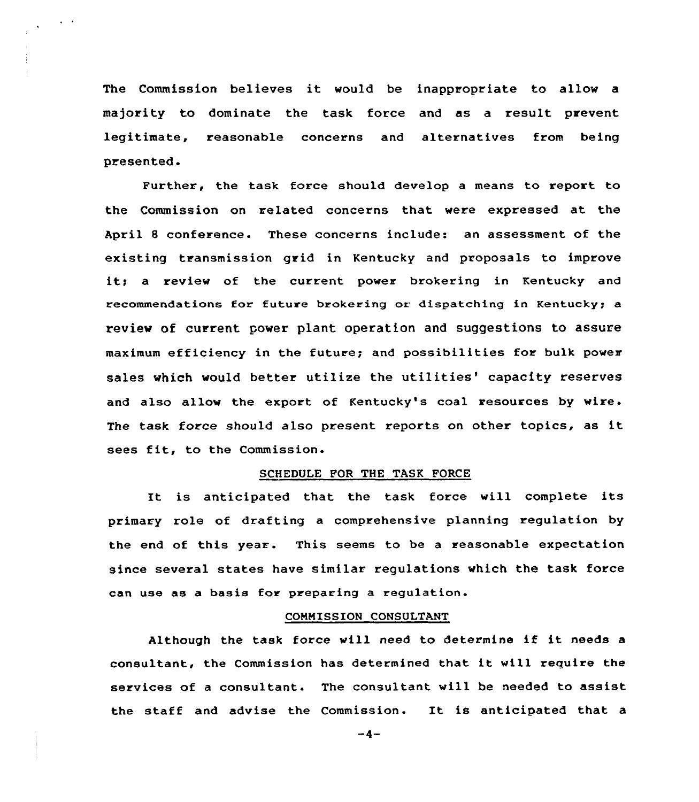The Commission believes it would be inappropriate to allow <sup>a</sup> majority to dominate the task force and as a result prevent legitimate, reasonable concerns and alternatives from being presented.

Further, the task force should develop a means to report to the Commission on related concerns that were expressed at the April 8 conference. These concerns include: an assessment of the existing transmission grid in Kentucky and proposals to improve it; a review of the current power brokering in Kentucky and recommendations for future brokering or dispatching in Kentucky; a review of current power plant operation and suggestions to assure maximum efficiency in the future; and possibilities for bulk power sales which would better utilize the utilities' capacity reserves and also allow the export of Kentucky's coal resources by wire. The task force should also present reports on other topics, as it sees fit, to the Commission.

### SCHEDULE FOR THE TASK FORCE

It is anticipated that the task force will complete its primary role of drafting a comprehensive planning regulation by the end of this year. This seems to be a reasonable expectation since several states have similar regulations which the task force can use as a basis for preparing a regulation.

#### COMMISSION CONSULTANT

Although the task force will need to determine if it needs <sup>a</sup> consultant, the Commission has determined that it will require the services of a consultant. The consultant will be needed to assist the staff and advise the Commission. It is anticipated that <sup>a</sup>

 $-4-$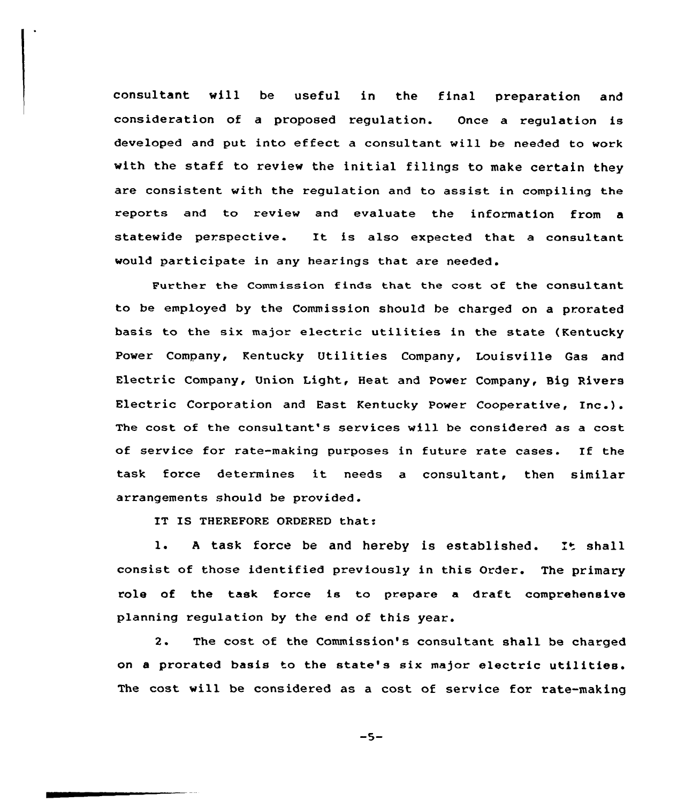consultant will be useful in the final preparation and consideration of a proposed regulation. Once a regulation is developed and put into effect a consultant will be needed to work with the staff to review the initial filings to make certain they are consistent with the regulation and to assist in compiling the reports and to review and evaluate the information from a statewide perspective. It is also expected that <sup>a</sup> consultant would participate in any hearings that are needed.

Further the Commission finds that the cost of the consultant to be employed by the Commission should be charged on a prorated basis to the six major electric utilities in the state {Kentucky Power Company, Kentucky Utilities Company, Louisville Gas and Electric Company, Union Light, Heat and Power Company, Big Rivers Electric Corporation and East Kentucky Power Cooperative, Inc.). The cost of the consultant's services will be considered as a cost of service for rate-making purposes in future rate cases. If the task force determines it needs <sup>a</sup> consultant, then similar arrangements should be provided.

IT IS THEREFORE ORDERED that:

1. A task force be and hereby is established. It shall consist of those identified previously in this Order. The primary role of the task force is to prepare a draft comprehensive planning regulation by the end of this year.

2. The cost of the Commission's consultant shall be charged on <sup>a</sup> prorated basis to the state's six major electric utilities. The cost will be considered as a cost of service for rate-making

 $-5-$